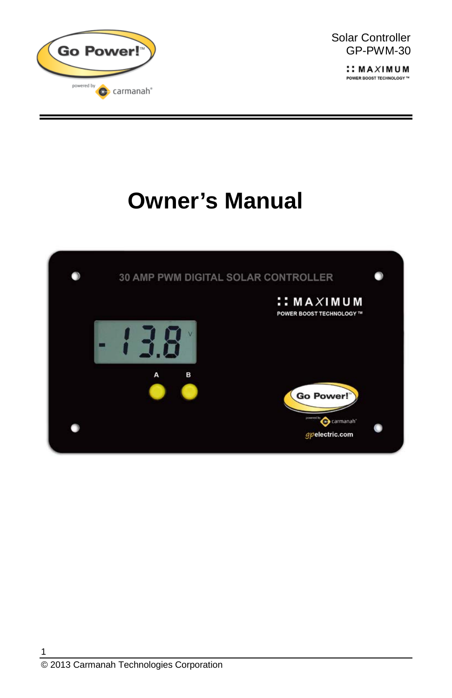

Solar Controller GP-PWM-30

> :: MAXIMUM POWER BOOST TECHNOLOGY™

# **Owner's Manual**



1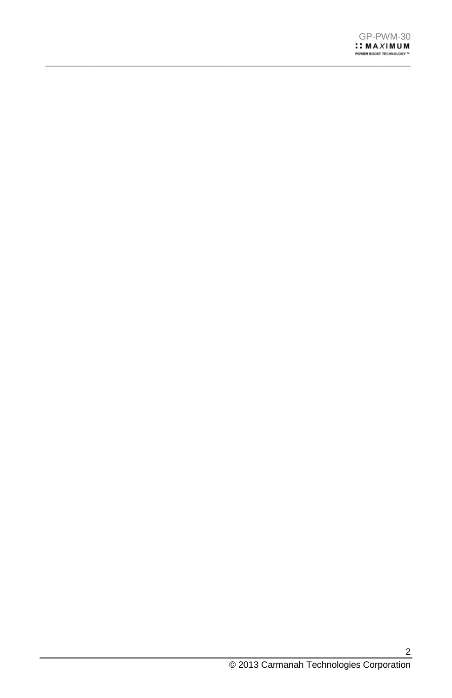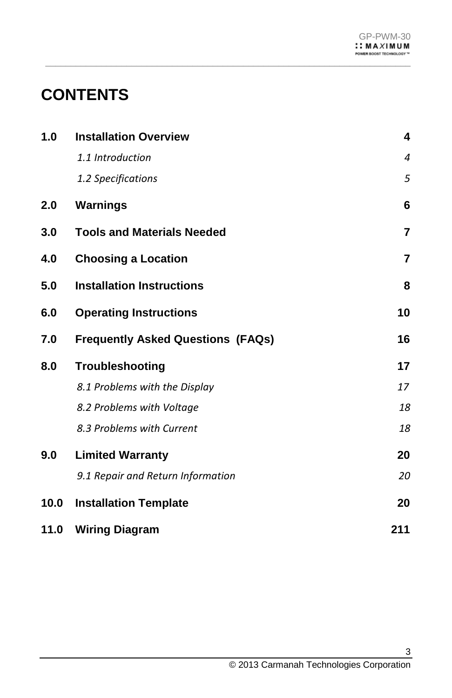## **CONTENTS**

| 1.0  | <b>Installation Overview</b>             | $\boldsymbol{4}$ |
|------|------------------------------------------|------------------|
|      | 1.1 Introduction                         | $\overline{4}$   |
|      | 1.2 Specifications                       | 5                |
| 2.0  | Warnings                                 | 6                |
| 3.0  | <b>Tools and Materials Needed</b>        | $\overline{7}$   |
| 4.0  | <b>Choosing a Location</b>               | $\overline{7}$   |
| 5.0  | <b>Installation Instructions</b>         | 8                |
| 6.0  | <b>Operating Instructions</b>            | 10               |
| 7.0  | <b>Frequently Asked Questions (FAQs)</b> | 16               |
| 8.0  | Troubleshooting                          | 17               |
|      | 8.1 Problems with the Display            | 17               |
|      | 8.2 Problems with Voltage                | 18               |
|      | 8.3 Problems with Current                | 18               |
| 9.0  | <b>Limited Warranty</b>                  | 20               |
|      | 9.1 Repair and Return Information        | 20               |
| 10.0 | <b>Installation Template</b>             | 20               |
| 11.0 | <b>Wiring Diagram</b>                    | 211              |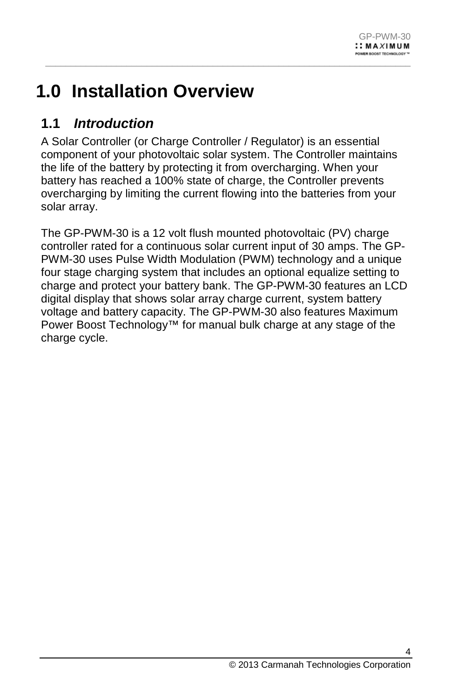## **1.0 Installation Overview**

### **1.1** *Introduction*

A Solar Controller (or Charge Controller / Regulator) is an essential component of your photovoltaic solar system. The Controller maintains the life of the battery by protecting it from overcharging. When your battery has reached a 100% state of charge, the Controller prevents overcharging by limiting the current flowing into the batteries from your solar array.

 $\mathcal{L}_\text{max} = \mathcal{L}_\text{max} = \mathcal{L}_\text{max} = \mathcal{L}_\text{max} = \mathcal{L}_\text{max} = \mathcal{L}_\text{max} = \mathcal{L}_\text{max} = \mathcal{L}_\text{max} = \mathcal{L}_\text{max} = \mathcal{L}_\text{max} = \mathcal{L}_\text{max} = \mathcal{L}_\text{max} = \mathcal{L}_\text{max} = \mathcal{L}_\text{max} = \mathcal{L}_\text{max} = \mathcal{L}_\text{max} = \mathcal{L}_\text{max} = \mathcal{L}_\text{max} = \mathcal{$ 

The GP-PWM-30 is a 12 volt flush mounted photovoltaic (PV) charge controller rated for a continuous solar current input of 30 amps. The GP-PWM-30 uses Pulse Width Modulation (PWM) technology and a unique four stage charging system that includes an optional equalize setting to charge and protect your battery bank. The GP-PWM-30 features an LCD digital display that shows solar array charge current, system battery voltage and battery capacity. The GP-PWM-30 also features Maximum Power Boost Technology™ for manual bulk charge at any stage of the charge cycle.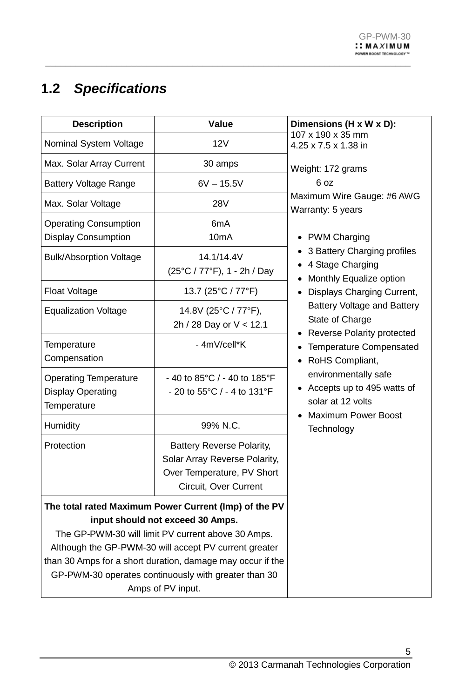## **1.2** *Specifications*

| <b>Description</b>                                                                                          | Value                                                                                                                    | Dimensions (H x W x D):<br>107 x 190 x 35 mm<br>4.25 x 7.5 x 1.38 in                             |  |
|-------------------------------------------------------------------------------------------------------------|--------------------------------------------------------------------------------------------------------------------------|--------------------------------------------------------------------------------------------------|--|
| Nominal System Voltage                                                                                      | 12V                                                                                                                      |                                                                                                  |  |
| Max. Solar Array Current                                                                                    | 30 amps                                                                                                                  | Weight: 172 grams                                                                                |  |
| <b>Battery Voltage Range</b>                                                                                | $6V - 15.5V$                                                                                                             | 6 oz                                                                                             |  |
| Max. Solar Voltage                                                                                          | 28V                                                                                                                      | Maximum Wire Gauge: #6 AWG<br>Warranty: 5 years                                                  |  |
| <b>Operating Consumption</b><br><b>Display Consumption</b>                                                  | 6 <sub>m</sub> A<br>10 <sub>m</sub> A                                                                                    | • PWM Charging                                                                                   |  |
| <b>Bulk/Absorption Voltage</b>                                                                              | 14.1/14.4V<br>(25°C / 77°F), 1 - 2h / Day                                                                                | 3 Battery Charging profiles<br>4 Stage Charging<br>Monthly Equalize option                       |  |
| Float Voltage                                                                                               | 13.7 (25°C / 77°F)                                                                                                       | • Displays Charging Current,                                                                     |  |
| <b>Equalization Voltage</b>                                                                                 | 14.8V (25°C / 77°F),<br>2h / 28 Day or V < 12.1                                                                          | <b>Battery Voltage and Battery</b><br>State of Charge<br><b>Reverse Polarity protected</b>       |  |
| Temperature<br>Compensation                                                                                 | - 4mV/cell*K                                                                                                             | <b>Temperature Compensated</b><br>• RoHS Compliant,                                              |  |
| <b>Operating Temperature</b><br>Display Operating<br>Temperature                                            | - 40 to 85°C / - 40 to 185°F<br>- 20 to 55°C / - 4 to 131°F                                                              | environmentally safe<br>• Accepts up to 495 watts of<br>solar at 12 volts<br>Maximum Power Boost |  |
| Humidity                                                                                                    | 99% N.C.                                                                                                                 | Technology                                                                                       |  |
| Protection                                                                                                  | <b>Battery Reverse Polarity,</b><br>Solar Array Reverse Polarity,<br>Over Temperature, PV Short<br>Circuit, Over Current |                                                                                                  |  |
| The total rated Maximum Power Current (Imp) of the PV                                                       |                                                                                                                          |                                                                                                  |  |
| input should not exceed 30 Amps.                                                                            |                                                                                                                          |                                                                                                  |  |
| The GP-PWM-30 will limit PV current above 30 Amps.<br>Although the GP-PWM-30 will accept PV current greater |                                                                                                                          |                                                                                                  |  |
| than 30 Amps for a short duration, damage may occur if the                                                  |                                                                                                                          |                                                                                                  |  |
| GP-PWM-30 operates continuously with greater than 30                                                        |                                                                                                                          |                                                                                                  |  |
| Amps of PV input.                                                                                           |                                                                                                                          |                                                                                                  |  |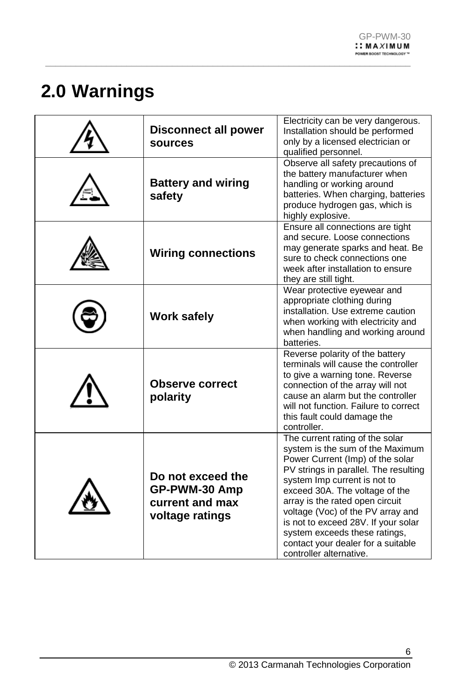## **2.0 Warnings**

| <b>Disconnect all power</b><br>sources                                   | Electricity can be very dangerous.<br>Installation should be performed<br>only by a licensed electrician or<br>qualified personnel.                                                                                                                                                                                                                                                                                                 |
|--------------------------------------------------------------------------|-------------------------------------------------------------------------------------------------------------------------------------------------------------------------------------------------------------------------------------------------------------------------------------------------------------------------------------------------------------------------------------------------------------------------------------|
| <b>Battery and wiring</b><br>safety                                      | Observe all safety precautions of<br>the battery manufacturer when<br>handling or working around<br>batteries. When charging, batteries<br>produce hydrogen gas, which is<br>highly explosive.                                                                                                                                                                                                                                      |
| <b>Wiring connections</b>                                                | Ensure all connections are tight<br>and secure. Loose connections<br>may generate sparks and heat. Be<br>sure to check connections one<br>week after installation to ensure<br>they are still tight.                                                                                                                                                                                                                                |
| <b>Work safely</b>                                                       | Wear protective eyewear and<br>appropriate clothing during<br>installation. Use extreme caution<br>when working with electricity and<br>when handling and working around<br>batteries.                                                                                                                                                                                                                                              |
| <b>Observe correct</b><br>polarity                                       | Reverse polarity of the battery<br>terminals will cause the controller<br>to give a warning tone. Reverse<br>connection of the array will not<br>cause an alarm but the controller<br>will not function. Failure to correct<br>this fault could damage the<br>controller.                                                                                                                                                           |
| Do not exceed the<br>GP-PWM-30 Amp<br>current and max<br>voltage ratings | The current rating of the solar<br>system is the sum of the Maximum<br>Power Current (Imp) of the solar<br>PV strings in parallel. The resulting<br>system Imp current is not to<br>exceed 30A. The voltage of the<br>array is the rated open circuit<br>voltage (Voc) of the PV array and<br>is not to exceed 28V. If your solar<br>system exceeds these ratings,<br>contact your dealer for a suitable<br>controller alternative. |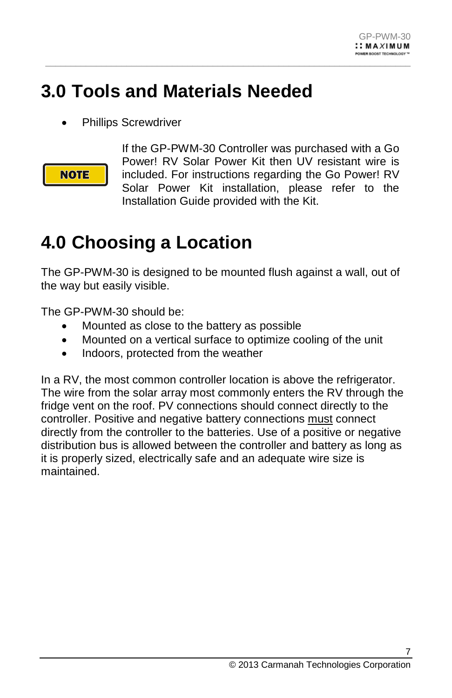## **3.0 Tools and Materials Needed**

• Phillips Screwdriver



If the GP-PWM-30 Controller was purchased with a Go Power! RV Solar Power Kit then UV resistant wire is included. For instructions regarding the Go Power! RV Solar Power Kit installation, please refer to the Installation Guide provided with the Kit.

## **4.0 Choosing a Location**

The GP-PWM-30 is designed to be mounted flush against a wall, out of the way but easily visible.

 $\mathcal{L}_\text{max} = \mathcal{L}_\text{max} = \mathcal{L}_\text{max} = \mathcal{L}_\text{max} = \mathcal{L}_\text{max} = \mathcal{L}_\text{max} = \mathcal{L}_\text{max} = \mathcal{L}_\text{max} = \mathcal{L}_\text{max} = \mathcal{L}_\text{max} = \mathcal{L}_\text{max} = \mathcal{L}_\text{max} = \mathcal{L}_\text{max} = \mathcal{L}_\text{max} = \mathcal{L}_\text{max} = \mathcal{L}_\text{max} = \mathcal{L}_\text{max} = \mathcal{L}_\text{max} = \mathcal{$ 

The GP-PWM-30 should be:

- Mounted as close to the battery as possible
- Mounted on a vertical surface to optimize cooling of the unit
- Indoors, protected from the weather

In a RV, the most common controller location is above the refrigerator. The wire from the solar array most commonly enters the RV through the fridge vent on the roof. PV connections should connect directly to the controller. Positive and negative battery connections must connect directly from the controller to the batteries. Use of a positive or negative distribution bus is allowed between the controller and battery as long as it is properly sized, electrically safe and an adequate wire size is maintained.

7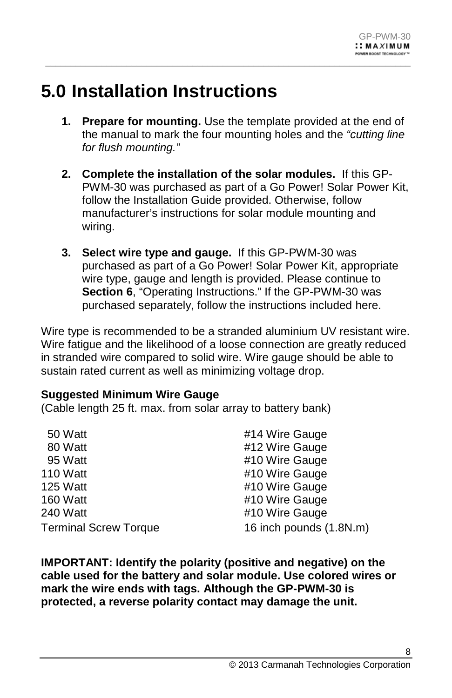## **5.0 Installation Instructions**

**1. Prepare for mounting.** Use the template provided at the end of the manual to mark the four mounting holes and the *"cutting line for flush mounting."*

 $\mathcal{L}_\text{max} = \mathcal{L}_\text{max} = \mathcal{L}_\text{max} = \mathcal{L}_\text{max} = \mathcal{L}_\text{max} = \mathcal{L}_\text{max} = \mathcal{L}_\text{max} = \mathcal{L}_\text{max} = \mathcal{L}_\text{max} = \mathcal{L}_\text{max} = \mathcal{L}_\text{max} = \mathcal{L}_\text{max} = \mathcal{L}_\text{max} = \mathcal{L}_\text{max} = \mathcal{L}_\text{max} = \mathcal{L}_\text{max} = \mathcal{L}_\text{max} = \mathcal{L}_\text{max} = \mathcal{$ 

- **2. Complete the installation of the solar modules.** If this GP-PWM-30 was purchased as part of a Go Power! Solar Power Kit, follow the Installation Guide provided. Otherwise, follow manufacturer's instructions for solar module mounting and wiring.
- **3. Select wire type and gauge.** If this GP-PWM-30 was purchased as part of a Go Power! Solar Power Kit, appropriate wire type, gauge and length is provided. Please continue to **Section 6**, "Operating Instructions." If the GP-PWM-30 was purchased separately, follow the instructions included here.

Wire type is recommended to be a stranded aluminium UV resistant wire. Wire fatigue and the likelihood of a loose connection are greatly reduced in stranded wire compared to solid wire. Wire gauge should be able to sustain rated current as well as minimizing voltage drop.

### **Suggested Minimum Wire Gauge**

(Cable length 25 ft. max. from solar array to battery bank)

| 50 Watt                      | #14 Wire Gauge          |
|------------------------------|-------------------------|
| 80 Watt                      | #12 Wire Gauge          |
| 95 Watt                      | #10 Wire Gauge          |
| 110 Watt                     | #10 Wire Gauge          |
| 125 Watt                     | #10 Wire Gauge          |
| 160 Watt                     | #10 Wire Gauge          |
| 240 Watt                     | #10 Wire Gauge          |
| <b>Terminal Screw Torque</b> | 16 inch pounds (1.8N.m) |
|                              |                         |

**IMPORTANT: Identify the polarity (positive and negative) on the cable used for the battery and solar module. Use colored wires or mark the wire ends with tags. Although the GP-PWM-30 is protected, a reverse polarity contact may damage the unit.**

8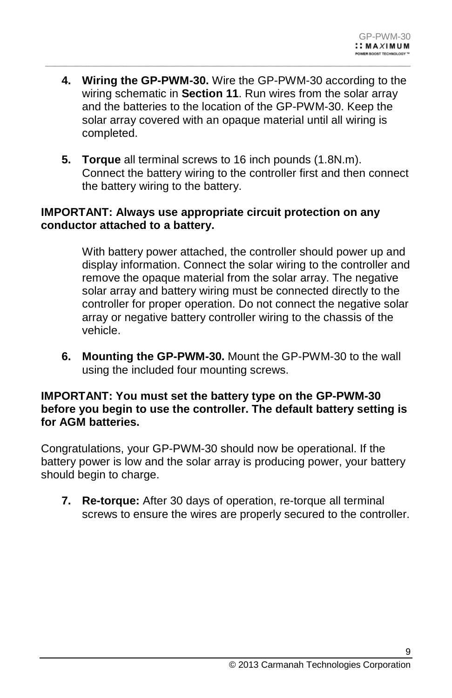**4. Wiring the GP-PWM-30.** Wire the GP-PWM-30 according to the wiring schematic in **Section 11**. Run wires from the solar array and the batteries to the location of the GP-PWM-30. Keep the solar array covered with an opaque material until all wiring is completed.

 $\mathcal{L}_\text{max} = \mathcal{L}_\text{max} = \mathcal{L}_\text{max} = \mathcal{L}_\text{max} = \mathcal{L}_\text{max} = \mathcal{L}_\text{max} = \mathcal{L}_\text{max} = \mathcal{L}_\text{max} = \mathcal{L}_\text{max} = \mathcal{L}_\text{max} = \mathcal{L}_\text{max} = \mathcal{L}_\text{max} = \mathcal{L}_\text{max} = \mathcal{L}_\text{max} = \mathcal{L}_\text{max} = \mathcal{L}_\text{max} = \mathcal{L}_\text{max} = \mathcal{L}_\text{max} = \mathcal{$ 

**5. Torque** all terminal screws to 16 inch pounds (1.8N.m). Connect the battery wiring to the controller first and then connect the battery wiring to the battery.

### **IMPORTANT: Always use appropriate circuit protection on any conductor attached to a battery.**

With battery power attached, the controller should power up and display information. Connect the solar wiring to the controller and remove the opaque material from the solar array. The negative solar array and battery wiring must be connected directly to the controller for proper operation. Do not connect the negative solar array or negative battery controller wiring to the chassis of the vehicle.

**6. Mounting the GP-PWM-30.** Mount the GP-PWM-30 to the wall using the included four mounting screws.

### **IMPORTANT: You must set the battery type on the GP-PWM-30 before you begin to use the controller. The default battery setting is for AGM batteries.**

Congratulations, your GP-PWM-30 should now be operational. If the battery power is low and the solar array is producing power, your battery should begin to charge.

**7. Re-torque:** After 30 days of operation, re-torque all terminal screws to ensure the wires are properly secured to the controller.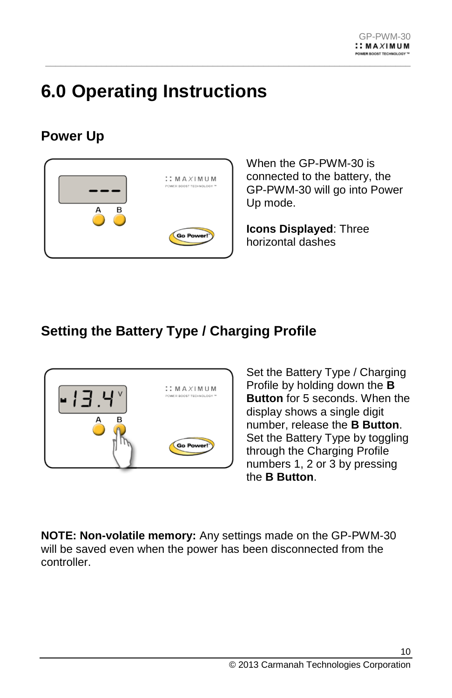## **6.0 Operating Instructions**

 $\mathcal{L}_\text{max} = \mathcal{L}_\text{max} = \mathcal{L}_\text{max} = \mathcal{L}_\text{max} = \mathcal{L}_\text{max} = \mathcal{L}_\text{max} = \mathcal{L}_\text{max} = \mathcal{L}_\text{max} = \mathcal{L}_\text{max} = \mathcal{L}_\text{max} = \mathcal{L}_\text{max} = \mathcal{L}_\text{max} = \mathcal{L}_\text{max} = \mathcal{L}_\text{max} = \mathcal{L}_\text{max} = \mathcal{L}_\text{max} = \mathcal{L}_\text{max} = \mathcal{L}_\text{max} = \mathcal{$ 

### **Power Up**



When the GP-PWM-30 is connected to the battery, the GP-PWM-30 will go into Power Up mode.

**Icons Displayed**: Three horizontal dashes

### **Setting the Battery Type / Charging Profile**



Set the Battery Type / Charging Profile by holding down the **B Button** for 5 seconds. When the display shows a single digit number, release the **B Button**. Set the Battery Type by toggling through the Charging Profile numbers 1, 2 or 3 by pressing the **B Button**.

**NOTE: Non-volatile memory:** Any settings made on the GP-PWM-30 will be saved even when the power has been disconnected from the controller.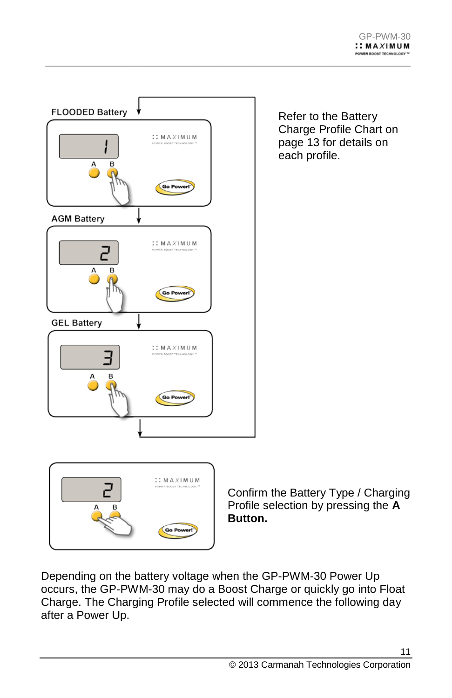

Refer to the Battery Charge Profile Chart on page 13 for details on each profile.



Confirm the Battery Type / Charging Profile selection by pressing the **A Button.**

Depending on the battery voltage when the GP-PWM-30 Power Up occurs, the GP-PWM-30 may do a Boost Charge or quickly go into Float Charge. The Charging Profile selected will commence the following day after a Power Up.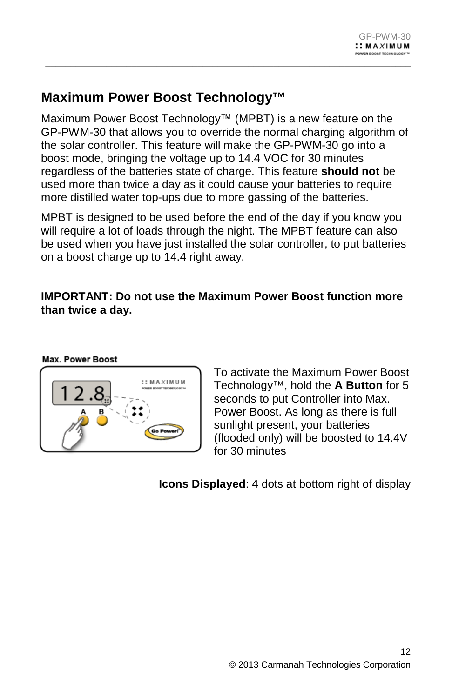### **Maximum Power Boost Technology™**

Maximum Power Boost Technology™ (MPBT) is a new feature on the GP-PWM-30 that allows you to override the normal charging algorithm of the solar controller. This feature will make the GP-PWM-30 go into a boost mode, bringing the voltage up to 14.4 VOC for 30 minutes regardless of the batteries state of charge. This feature **should not** be used more than twice a day as it could cause your batteries to require more distilled water top-ups due to more gassing of the batteries.

 $\mathcal{L}_\text{max} = \mathcal{L}_\text{max} = \mathcal{L}_\text{max} = \mathcal{L}_\text{max} = \mathcal{L}_\text{max} = \mathcal{L}_\text{max} = \mathcal{L}_\text{max} = \mathcal{L}_\text{max} = \mathcal{L}_\text{max} = \mathcal{L}_\text{max} = \mathcal{L}_\text{max} = \mathcal{L}_\text{max} = \mathcal{L}_\text{max} = \mathcal{L}_\text{max} = \mathcal{L}_\text{max} = \mathcal{L}_\text{max} = \mathcal{L}_\text{max} = \mathcal{L}_\text{max} = \mathcal{$ 

MPBT is designed to be used before the end of the day if you know you will require a lot of loads through the night. The MPBT feature can also be used when you have just installed the solar controller, to put batteries on a boost charge up to 14.4 right away.

### **IMPORTANT: Do not use the Maximum Power Boost function more than twice a day.**





To activate the Maximum Power Boost Technology™, hold the **A Button** for 5 seconds to put Controller into Max. Power Boost. As long as there is full sunlight present, your batteries (flooded only) will be boosted to 14.4V for 30 minutes

**Icons Displayed**: 4 dots at bottom right of display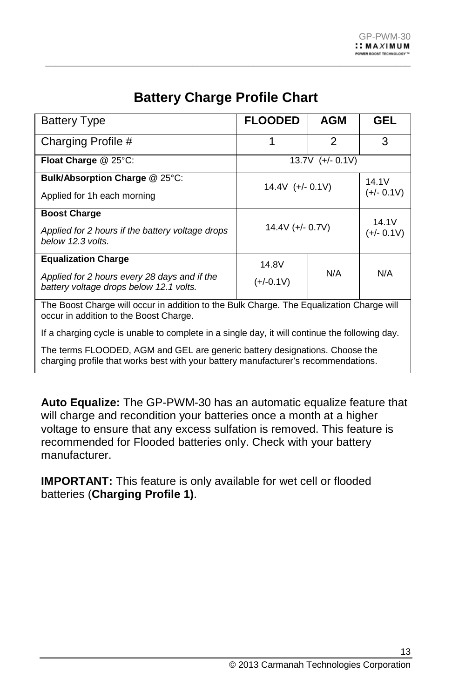| <b>Battery Type</b>                                                                                                                | <b>FLOODED</b>       | AGM | <b>GEL</b>            |  |
|------------------------------------------------------------------------------------------------------------------------------------|----------------------|-----|-----------------------|--|
| Charging Profile #                                                                                                                 | 1                    | 2   | 3                     |  |
| Float Charge @ 25°C:                                                                                                               | $13.7V$ $(+/- 0.1V)$ |     |                       |  |
| Bulk/Absorption Charge @ 25°C:                                                                                                     | $14.4V$ $(+/- 0.1V)$ |     | 14.1V                 |  |
| Applied for 1h each morning                                                                                                        |                      |     | $(+/- 0.1V)$          |  |
| <b>Boost Charge</b>                                                                                                                | $14.4V$ (+/- 0.7V)   |     | 14.1V<br>$(+/- 0.1V)$ |  |
| Applied for 2 hours if the battery voltage drops<br>below 12.3 volts.                                                              |                      |     |                       |  |
| <b>Equalization Charge</b>                                                                                                         | 14.8V                |     |                       |  |
| Applied for 2 hours every 28 days and if the                                                                                       |                      | N/A | N/A                   |  |
| battery voltage drops below 12.1 volts.                                                                                            | $(+/-0.1V)$          |     |                       |  |
| The Boost Charge will occur in addition to the Bulk Charge. The Equalization Charge will<br>occur in addition to the Boost Charge. |                      |     |                       |  |
| If a charging cycle is unable to complete in a single day, it will continue the following day.                                     |                      |     |                       |  |

### **Battery Charge Profile Chart**

 $\mathcal{L}_\text{max} = \mathcal{L}_\text{max} = \mathcal{L}_\text{max} = \mathcal{L}_\text{max} = \mathcal{L}_\text{max} = \mathcal{L}_\text{max} = \mathcal{L}_\text{max} = \mathcal{L}_\text{max} = \mathcal{L}_\text{max} = \mathcal{L}_\text{max} = \mathcal{L}_\text{max} = \mathcal{L}_\text{max} = \mathcal{L}_\text{max} = \mathcal{L}_\text{max} = \mathcal{L}_\text{max} = \mathcal{L}_\text{max} = \mathcal{L}_\text{max} = \mathcal{L}_\text{max} = \mathcal{$ 

The terms FLOODED, AGM and GEL are generic battery designations. Choose the charging profile that works best with your battery manufacturer's recommendations.

**Auto Equalize:** The GP-PWM-30 has an automatic equalize feature that will charge and recondition your batteries once a month at a higher voltage to ensure that any excess sulfation is removed. This feature is recommended for Flooded batteries only. Check with your battery manufacturer.

**IMPORTANT:** This feature is only available for wet cell or flooded batteries (**Charging Profile 1)**.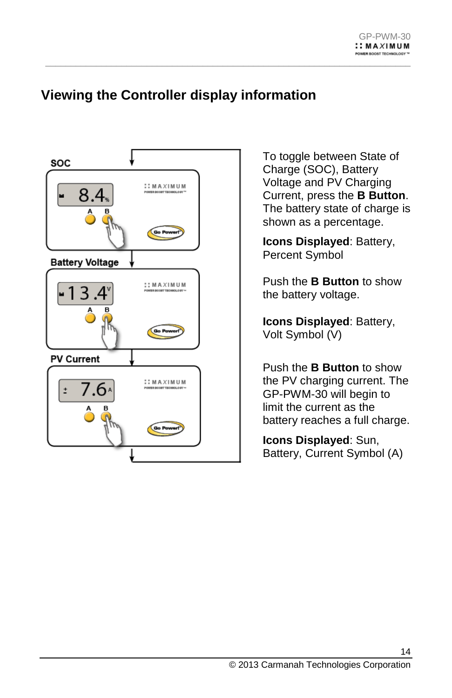### **Viewing the Controller display information**

 $\mathcal{L}_\text{max} = \mathcal{L}_\text{max} = \mathcal{L}_\text{max} = \mathcal{L}_\text{max} = \mathcal{L}_\text{max} = \mathcal{L}_\text{max} = \mathcal{L}_\text{max} = \mathcal{L}_\text{max} = \mathcal{L}_\text{max} = \mathcal{L}_\text{max} = \mathcal{L}_\text{max} = \mathcal{L}_\text{max} = \mathcal{L}_\text{max} = \mathcal{L}_\text{max} = \mathcal{L}_\text{max} = \mathcal{L}_\text{max} = \mathcal{L}_\text{max} = \mathcal{L}_\text{max} = \mathcal{$ 



To toggle between State of Charge (SOC), Battery Voltage and PV Charging Current, press the **B Button**. The battery state of charge is shown as a percentage.

**Icons Displayed**: Battery, Percent Symbol

Push the **B Button** to show the battery voltage.

**Icons Displayed**: Battery, Volt Symbol (V)

Push the **B Button** to show the PV charging current. The GP-PWM-30 will begin to limit the current as the battery reaches a full charge.

**Icons Displayed**: Sun, Battery, Current Symbol (A)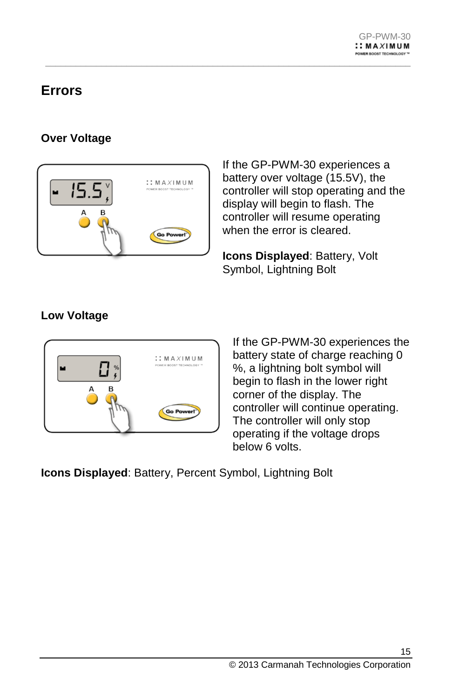### **Errors**

### **Over Voltage**



If the GP-PWM-30 experiences a battery over voltage (15.5V), the controller will stop operating and the display will begin to flash. The controller will resume operating when the error is cleared.

**Icons Displayed**: Battery, Volt Symbol, Lightning Bolt

 $\mathcal{L}_\text{max} = \mathcal{L}_\text{max} = \mathcal{L}_\text{max} = \mathcal{L}_\text{max} = \mathcal{L}_\text{max} = \mathcal{L}_\text{max} = \mathcal{L}_\text{max} = \mathcal{L}_\text{max} = \mathcal{L}_\text{max} = \mathcal{L}_\text{max} = \mathcal{L}_\text{max} = \mathcal{L}_\text{max} = \mathcal{L}_\text{max} = \mathcal{L}_\text{max} = \mathcal{L}_\text{max} = \mathcal{L}_\text{max} = \mathcal{L}_\text{max} = \mathcal{L}_\text{max} = \mathcal{$ 

### **Low Voltage**



If the GP-PWM-30 experiences the battery state of charge reaching 0 %, a lightning bolt symbol will begin to flash in the lower right corner of the display. The controller will continue operating. The controller will only stop operating if the voltage drops below 6 volts.

**Icons Displayed**: Battery, Percent Symbol, Lightning Bolt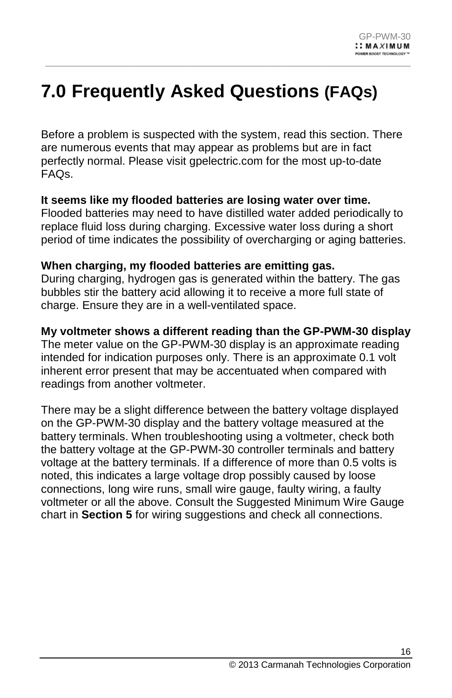## **7.0 Frequently Asked Questions (FAQs)**

 $\mathcal{L}_\text{max} = \mathcal{L}_\text{max} = \mathcal{L}_\text{max} = \mathcal{L}_\text{max} = \mathcal{L}_\text{max} = \mathcal{L}_\text{max} = \mathcal{L}_\text{max} = \mathcal{L}_\text{max} = \mathcal{L}_\text{max} = \mathcal{L}_\text{max} = \mathcal{L}_\text{max} = \mathcal{L}_\text{max} = \mathcal{L}_\text{max} = \mathcal{L}_\text{max} = \mathcal{L}_\text{max} = \mathcal{L}_\text{max} = \mathcal{L}_\text{max} = \mathcal{L}_\text{max} = \mathcal{$ 

Before a problem is suspected with the system, read this section. There are numerous events that may appear as problems but are in fact perfectly normal. Please visit gpelectric.com for the most up-to-date FAQs.

### **It seems like my flooded batteries are losing water over time.**

Flooded batteries may need to have distilled water added periodically to replace fluid loss during charging. Excessive water loss during a short period of time indicates the possibility of overcharging or aging batteries.

### **When charging, my flooded batteries are emitting gas.**

During charging, hydrogen gas is generated within the battery. The gas bubbles stir the battery acid allowing it to receive a more full state of charge. Ensure they are in a well-ventilated space.

### **My voltmeter shows a different reading than the GP-PWM-30 display**

The meter value on the GP-PWM-30 display is an approximate reading intended for indication purposes only. There is an approximate 0.1 volt inherent error present that may be accentuated when compared with readings from another voltmeter.

There may be a slight difference between the battery voltage displayed on the GP-PWM-30 display and the battery voltage measured at the battery terminals. When troubleshooting using a voltmeter, check both the battery voltage at the GP-PWM-30 controller terminals and battery voltage at the battery terminals. If a difference of more than 0.5 volts is noted, this indicates a large voltage drop possibly caused by loose connections, long wire runs, small wire gauge, faulty wiring, a faulty voltmeter or all the above. Consult the Suggested Minimum Wire Gauge chart in **Section 5** for wiring suggestions and check all connections.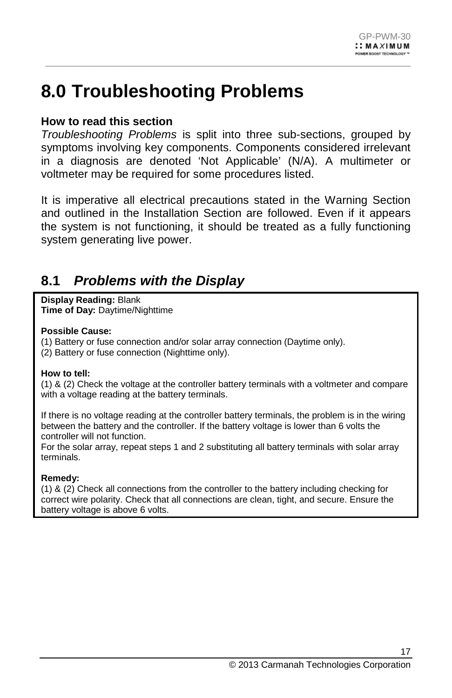## **8.0 Troubleshooting Problems**

### **How to read this section**

*Troubleshooting Problems* is split into three sub-sections, grouped by symptoms involving key components. Components considered irrelevant in a diagnosis are denoted 'Not Applicable' (N/A). A multimeter or voltmeter may be required for some procedures listed.

 $\mathcal{L}_\text{max} = \mathcal{L}_\text{max} = \mathcal{L}_\text{max} = \mathcal{L}_\text{max} = \mathcal{L}_\text{max} = \mathcal{L}_\text{max} = \mathcal{L}_\text{max} = \mathcal{L}_\text{max} = \mathcal{L}_\text{max} = \mathcal{L}_\text{max} = \mathcal{L}_\text{max} = \mathcal{L}_\text{max} = \mathcal{L}_\text{max} = \mathcal{L}_\text{max} = \mathcal{L}_\text{max} = \mathcal{L}_\text{max} = \mathcal{L}_\text{max} = \mathcal{L}_\text{max} = \mathcal{$ 

It is imperative all electrical precautions stated in the Warning Section and outlined in the Installation Section are followed. Even if it appears the system is not functioning, it should be treated as a fully functioning system generating live power.

### **8.1** *Problems with the Display*

**Display Reading:** Blank **Time of Day:** Daytime/Nighttime

### **Possible Cause:**

(1) Battery or fuse connection and/or solar array connection (Daytime only).

(2) Battery or fuse connection (Nighttime only).

#### **How to tell:**

(1) & (2) Check the voltage at the controller battery terminals with a voltmeter and compare with a voltage reading at the battery terminals.

If there is no voltage reading at the controller battery terminals, the problem is in the wiring between the battery and the controller. If the battery voltage is lower than 6 volts the controller will not function.

For the solar array, repeat steps 1 and 2 substituting all battery terminals with solar array terminals.

### **Remedy:**

(1) & (2) Check all connections from the controller to the battery including checking for correct wire polarity. Check that all connections are clean, tight, and secure. Ensure the battery voltage is above 6 volts.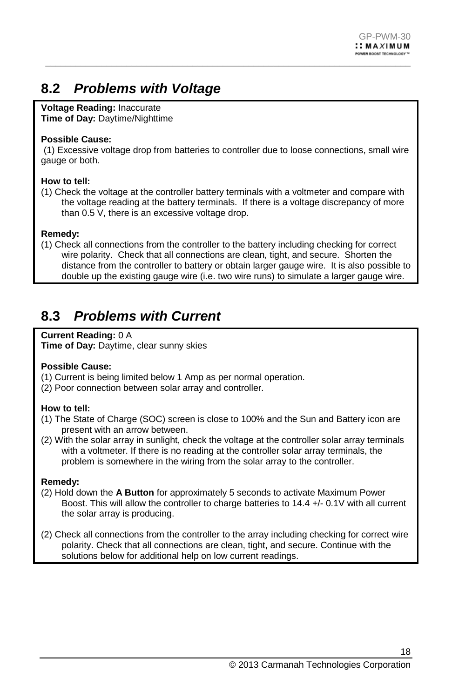### **8.2** *Problems with Voltage*

### **Voltage Reading:** Inaccurate

**Time of Day:** Daytime/Nighttime

#### **Possible Cause:**

(1) Excessive voltage drop from batteries to controller due to loose connections, small wire gauge or both.

 $\mathcal{L}_\text{max} = \mathcal{L}_\text{max} = \mathcal{L}_\text{max} = \mathcal{L}_\text{max} = \mathcal{L}_\text{max} = \mathcal{L}_\text{max} = \mathcal{L}_\text{max} = \mathcal{L}_\text{max} = \mathcal{L}_\text{max} = \mathcal{L}_\text{max} = \mathcal{L}_\text{max} = \mathcal{L}_\text{max} = \mathcal{L}_\text{max} = \mathcal{L}_\text{max} = \mathcal{L}_\text{max} = \mathcal{L}_\text{max} = \mathcal{L}_\text{max} = \mathcal{L}_\text{max} = \mathcal{$ 

#### **How to tell:**

(1) Check the voltage at the controller battery terminals with a voltmeter and compare with the voltage reading at the battery terminals. If there is a voltage discrepancy of more than 0.5 V, there is an excessive voltage drop.

#### **Remedy:**

(1) Check all connections from the controller to the battery including checking for correct wire polarity. Check that all connections are clean, tight, and secure. Shorten the distance from the controller to battery or obtain larger gauge wire. It is also possible to double up the existing gauge wire (i.e. two wire runs) to simulate a larger gauge wire.

### **8.3** *Problems with Current*

#### **Current Reading:** 0 A

**Time of Day:** Daytime, clear sunny skies

#### **Possible Cause:**

- (1) Current is being limited below 1 Amp as per normal operation.
- (2) Poor connection between solar array and controller.

#### **How to tell:**

- (1) The State of Charge (SOC) screen is close to 100% and the Sun and Battery icon are present with an arrow between.
- (2) With the solar array in sunlight, check the voltage at the controller solar array terminals with a voltmeter. If there is no reading at the controller solar array terminals, the problem is somewhere in the wiring from the solar array to the controller.

#### **Remedy:**

- (2) Hold down the **A Button** for approximately 5 seconds to activate Maximum Power Boost. This will allow the controller to charge batteries to 14.4 +/- 0.1V with all current the solar array is producing.
- (2) Check all connections from the controller to the array including checking for correct wire polarity. Check that all connections are clean, tight, and secure. Continue with the solutions below for additional help on low current readings.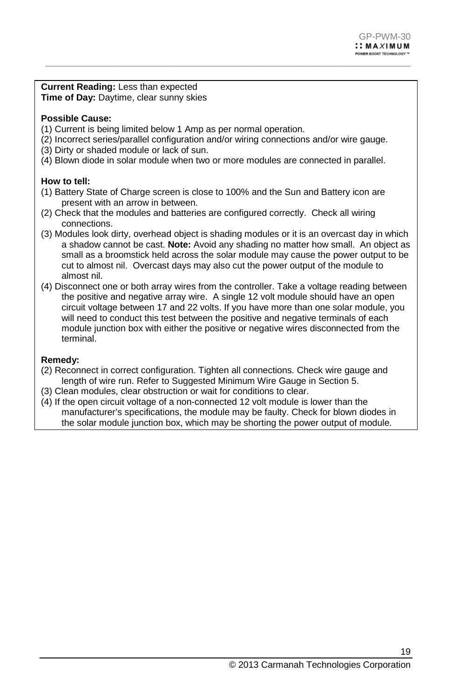**Current Reading:** Less than expected **Time of Day:** Daytime, clear sunny skies

#### **Possible Cause:**

- (1) Current is being limited below 1 Amp as per normal operation.
- (2) Incorrect series/parallel configuration and/or wiring connections and/or wire gauge.

 $\mathcal{L}_\text{max} = \mathcal{L}_\text{max} = \mathcal{L}_\text{max} = \mathcal{L}_\text{max} = \mathcal{L}_\text{max} = \mathcal{L}_\text{max} = \mathcal{L}_\text{max} = \mathcal{L}_\text{max} = \mathcal{L}_\text{max} = \mathcal{L}_\text{max} = \mathcal{L}_\text{max} = \mathcal{L}_\text{max} = \mathcal{L}_\text{max} = \mathcal{L}_\text{max} = \mathcal{L}_\text{max} = \mathcal{L}_\text{max} = \mathcal{L}_\text{max} = \mathcal{L}_\text{max} = \mathcal{$ 

- (3) Dirty or shaded module or lack of sun.
- (4) Blown diode in solar module when two or more modules are connected in parallel.

#### **How to tell:**

- (1) Battery State of Charge screen is close to 100% and the Sun and Battery icon are present with an arrow in between.
- (2) Check that the modules and batteries are configured correctly. Check all wiring connections.
- (3) Modules look dirty, overhead object is shading modules or it is an overcast day in which a shadow cannot be cast. **Note:** Avoid any shading no matter how small. An object as small as a broomstick held across the solar module may cause the power output to be cut to almost nil. Overcast days may also cut the power output of the module to almost nil.
- (4) Disconnect one or both array wires from the controller. Take a voltage reading between the positive and negative array wire. A single 12 volt module should have an open circuit voltage between 17 and 22 volts. If you have more than one solar module, you will need to conduct this test between the positive and negative terminals of each module junction box with either the positive or negative wires disconnected from the terminal.

#### **Remedy:**

- (2) Reconnect in correct configuration. Tighten all connections. Check wire gauge and length of wire run. Refer to Suggested Minimum Wire Gauge in Section 5.
- (3) Clean modules, clear obstruction or wait for conditions to clear.
- (4) If the open circuit voltage of a non-connected 12 volt module is lower than the manufacturer's specifications, the module may be faulty. Check for blown diodes in the solar module junction box, which may be shorting the power output of module.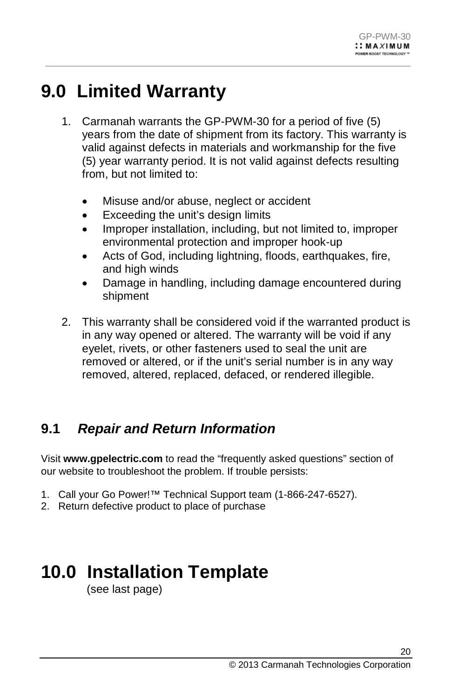## **9.0 Limited Warranty**

1. Carmanah warrants the GP-PWM-30 for a period of five (5) years from the date of shipment from its factory. This warranty is valid against defects in materials and workmanship for the five (5) year warranty period. It is not valid against defects resulting from, but not limited to:

 $\mathcal{L}_\text{max} = \mathcal{L}_\text{max} = \mathcal{L}_\text{max} = \mathcal{L}_\text{max} = \mathcal{L}_\text{max} = \mathcal{L}_\text{max} = \mathcal{L}_\text{max} = \mathcal{L}_\text{max} = \mathcal{L}_\text{max} = \mathcal{L}_\text{max} = \mathcal{L}_\text{max} = \mathcal{L}_\text{max} = \mathcal{L}_\text{max} = \mathcal{L}_\text{max} = \mathcal{L}_\text{max} = \mathcal{L}_\text{max} = \mathcal{L}_\text{max} = \mathcal{L}_\text{max} = \mathcal{$ 

- Misuse and/or abuse, neglect or accident
- Exceeding the unit's design limits
- Improper installation, including, but not limited to, improper environmental protection and improper hook-up
- Acts of God, including lightning, floods, earthquakes, fire, and high winds
- Damage in handling, including damage encountered during shipment
- 2. This warranty shall be considered void if the warranted product is in any way opened or altered. The warranty will be void if any eyelet, rivets, or other fasteners used to seal the unit are removed or altered, or if the unit's serial number is in any way removed, altered, replaced, defaced, or rendered illegible.

### **9.1** *Repair and Return Information*

Visit **www.gpelectric.com** to read the "frequently asked questions" section of our website to troubleshoot the problem. If trouble persists:

- 1. Call your Go Power!™ Technical Support team (1-866-247-6527).
- 2. Return defective product to place of purchase

# **10.0 Installation Template**

(see last page)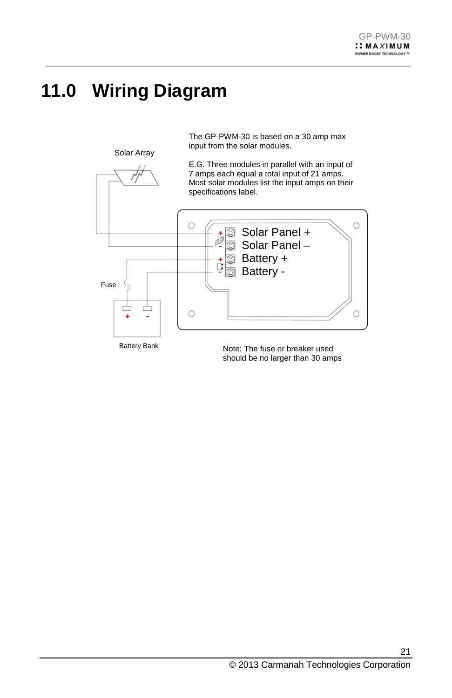## **11.0 Wiring Diagram**



 $\mathcal{L}_\text{max} = \mathcal{L}_\text{max} = \mathcal{L}_\text{max} = \mathcal{L}_\text{max} = \mathcal{L}_\text{max} = \mathcal{L}_\text{max} = \mathcal{L}_\text{max} = \mathcal{L}_\text{max} = \mathcal{L}_\text{max} = \mathcal{L}_\text{max} = \mathcal{L}_\text{max} = \mathcal{L}_\text{max} = \mathcal{L}_\text{max} = \mathcal{L}_\text{max} = \mathcal{L}_\text{max} = \mathcal{L}_\text{max} = \mathcal{L}_\text{max} = \mathcal{L}_\text{max} = \mathcal{$ 

The GP-PWM-30 is based on a 30 amp max

Note: The fuse or breaker used should be no larger than 30 amps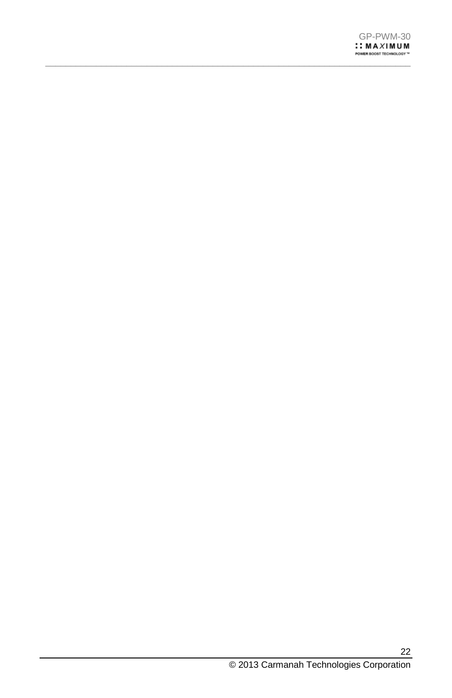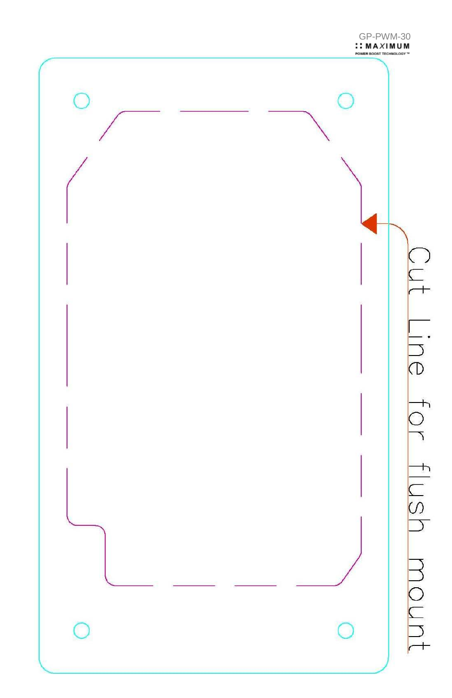